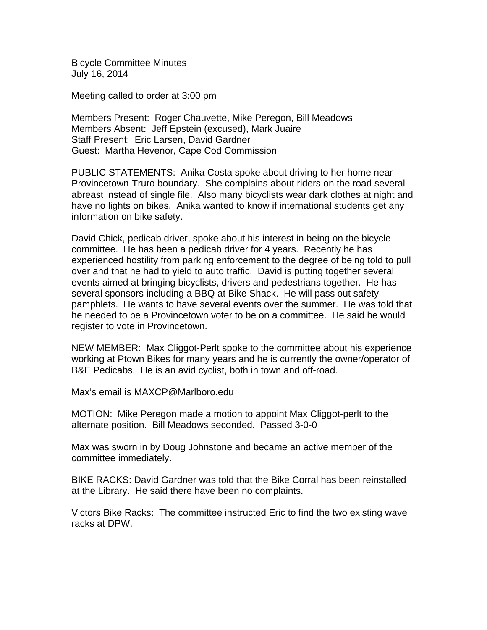Bicycle Committee Minutes July 16, 2014

Meeting called to order at 3:00 pm

Members Present: Roger Chauvette, Mike Peregon, Bill Meadows Members Absent: Jeff Epstein (excused), Mark Juaire Staff Present: Eric Larsen, David Gardner Guest: Martha Hevenor, Cape Cod Commission

PUBLIC STATEMENTS: Anika Costa spoke about driving to her home near Provincetown-Truro boundary. She complains about riders on the road several abreast instead of single file. Also many bicyclists wear dark clothes at night and have no lights on bikes. Anika wanted to know if international students get any information on bike safety.

David Chick, pedicab driver, spoke about his interest in being on the bicycle committee. He has been a pedicab driver for 4 years. Recently he has experienced hostility from parking enforcement to the degree of being told to pull over and that he had to yield to auto traffic. David is putting together several events aimed at bringing bicyclists, drivers and pedestrians together. He has several sponsors including a BBQ at Bike Shack. He will pass out safety pamphlets. He wants to have several events over the summer. He was told that he needed to be a Provincetown voter to be on a committee. He said he would register to vote in Provincetown.

NEW MEMBER: Max Cliggot-Perlt spoke to the committee about his experience working at Ptown Bikes for many years and he is currently the owner/operator of B&E Pedicabs. He is an avid cyclist, both in town and off-road.

Max's email is MAXCP@Marlboro.edu

MOTION: Mike Peregon made a motion to appoint Max Cliggot-perlt to the alternate position. Bill Meadows seconded. Passed 3-0-0

Max was sworn in by Doug Johnstone and became an active member of the committee immediately.

BIKE RACKS: David Gardner was told that the Bike Corral has been reinstalled at the Library. He said there have been no complaints.

Victors Bike Racks: The committee instructed Eric to find the two existing wave racks at DPW.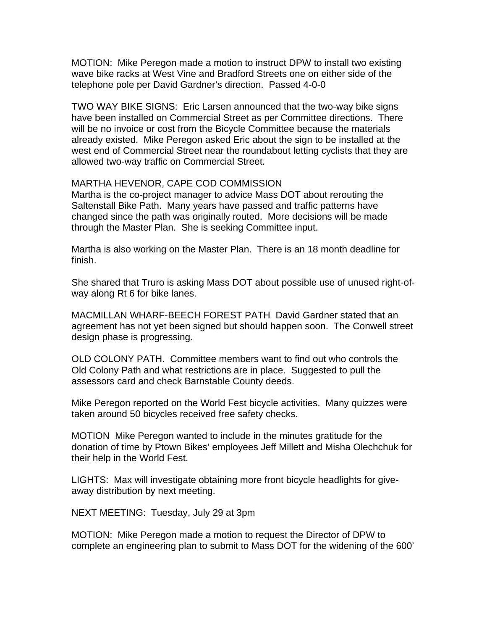MOTION: Mike Peregon made a motion to instruct DPW to install two existing wave bike racks at West Vine and Bradford Streets one on either side of the telephone pole per David Gardner's direction. Passed 4-0-0

TWO WAY BIKE SIGNS: Eric Larsen announced that the two-way bike signs have been installed on Commercial Street as per Committee directions. There will be no invoice or cost from the Bicycle Committee because the materials already existed. Mike Peregon asked Eric about the sign to be installed at the west end of Commercial Street near the roundabout letting cyclists that they are allowed two-way traffic on Commercial Street.

## MARTHA HEVENOR, CAPE COD COMMISSION

Martha is the co-project manager to advice Mass DOT about rerouting the Saltenstall Bike Path. Many years have passed and traffic patterns have changed since the path was originally routed. More decisions will be made through the Master Plan. She is seeking Committee input.

Martha is also working on the Master Plan. There is an 18 month deadline for finish.

She shared that Truro is asking Mass DOT about possible use of unused right-ofway along Rt 6 for bike lanes.

MACMILLAN WHARF-BEECH FOREST PATH David Gardner stated that an agreement has not yet been signed but should happen soon. The Conwell street design phase is progressing.

OLD COLONY PATH. Committee members want to find out who controls the Old Colony Path and what restrictions are in place. Suggested to pull the assessors card and check Barnstable County deeds.

Mike Peregon reported on the World Fest bicycle activities. Many quizzes were taken around 50 bicycles received free safety checks.

MOTION Mike Peregon wanted to include in the minutes gratitude for the donation of time by Ptown Bikes' employees Jeff Millett and Misha Olechchuk for their help in the World Fest.

LIGHTS: Max will investigate obtaining more front bicycle headlights for giveaway distribution by next meeting.

NEXT MEETING: Tuesday, July 29 at 3pm

MOTION: Mike Peregon made a motion to request the Director of DPW to complete an engineering plan to submit to Mass DOT for the widening of the 600'